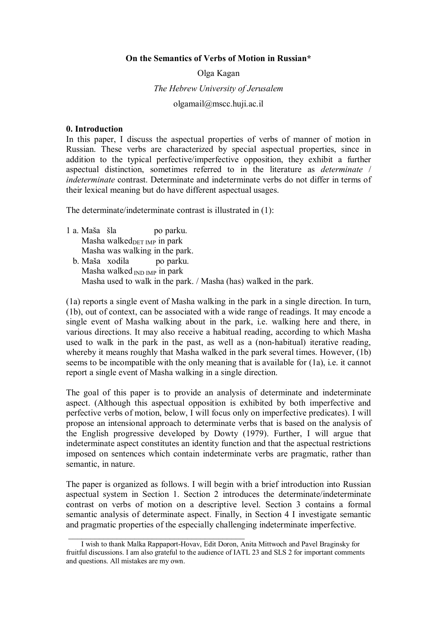#### **On the Semantics of Verbs of Motion in Russian\***

# Olga Kagan *The Hebrew University of Jerusalem*  olgamail@mscc.huji.ac.il

#### **0. Introduction**

In this paper, I discuss the aspectual properties of verbs of manner of motion in Russian. These verbs are characterized by special aspectual properties, since in addition to the typical perfective/imperfective opposition, they exhibit a further aspectual distinction, sometimes referred to in the literature as *determinate* / *indeterminate* contrast. Determinate and indeterminate verbs do not differ in terms of their lexical meaning but do have different aspectual usages.

The determinate/indeterminate contrast is illustrated in (1):

- 1 a. Maša šla po parku. Masha walked $_{\text{DET~IMP}}$  in park Masha was walking in the park.
	- b. Maša xodila po parku. Masha walked  $_{\text{IND} \text{IMP}}$  in park Masha used to walk in the park. / Masha (has) walked in the park.

(1a) reports a single event of Masha walking in the park in a single direction. In turn, (1b), out of context, can be associated with a wide range of readings. It may encode a single event of Masha walking about in the park, i.e. walking here and there, in various directions. It may also receive a habitual reading, according to which Masha used to walk in the park in the past, as well as a (non-habitual) iterative reading, whereby it means roughly that Masha walked in the park several times. However, (1b) seems to be incompatible with the only meaning that is available for (1a), i.e. it cannot report a single event of Masha walking in a single direction.

The goal of this paper is to provide an analysis of determinate and indeterminate aspect. (Although this aspectual opposition is exhibited by both imperfective and perfective verbs of motion, below, I will focus only on imperfective predicates). I will propose an intensional approach to determinate verbs that is based on the analysis of the English progressive developed by Dowty (1979). Further, I will argue that indeterminate aspect constitutes an identity function and that the aspectual restrictions imposed on sentences which contain indeterminate verbs are pragmatic, rather than semantic, in nature.

The paper is organized as follows. I will begin with a brief introduction into Russian aspectual system in Section 1. Section 2 introduces the determinate/indeterminate contrast on verbs of motion on a descriptive level. Section 3 contains a formal semantic analysis of determinate aspect. Finally, in Section 4 I investigate semantic and pragmatic properties of the especially challenging indeterminate imperfective.

 $\mathcal{L}=\{1,2,3,4,5\}$ 

I wish to thank Malka Rappaport-Hovav, Edit Doron, Anita Mittwoch and Pavel Braginsky for fruitful discussions. I am also grateful to the audience of IATL 23 and SLS 2 for important comments and questions. All mistakes are my own.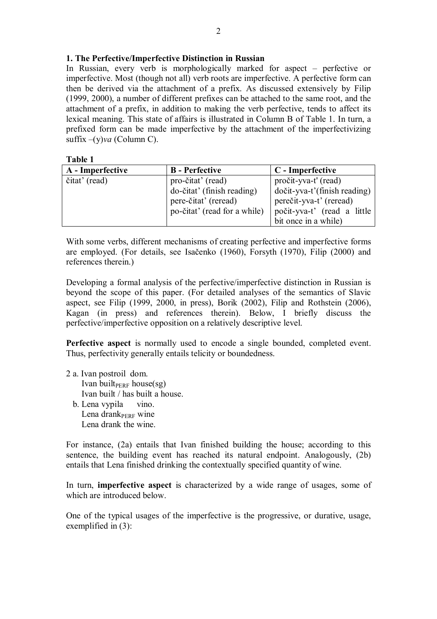# **1. The Perfective/Imperfective Distinction in Russian**

In Russian, every verb is morphologically marked for aspect – perfective or imperfective. Most (though not all) verb roots are imperfective. A perfective form can then be derived via the attachment of a prefix. As discussed extensively by Filip (1999, 2000), a number of different prefixes can be attached to the same root, and the attachment of a prefix, in addition to making the verb perfective, tends to affect its lexical meaning. This state of affairs is illustrated in Column B of Table 1. In turn, a prefixed form can be made imperfective by the attachment of the imperfectivizing suffix –(y)*va* (Column C).

#### **Table 1**

| A - Imperfective | <b>B</b> - Perfective        | C - Imperfective             |
|------------------|------------------------------|------------------------------|
| čitat' (read)    | pro-čitat' (read)            | pročit-yva-t' (read)         |
|                  | do-čitat' (finish reading)   | dočit-yva-t'(finish reading) |
|                  | pere-čitat' (reread)         | perečit-yva-t' (reread)      |
|                  | po-čitat' (read for a while) | počit-yva-t' (read a little  |
|                  |                              | bit once in a while)         |

With some verbs, different mechanisms of creating perfective and imperfective forms are employed. (For details, see Isačenko (1960), Forsyth (1970), Filip (2000) and references therein.)

Developing a formal analysis of the perfective/imperfective distinction in Russian is beyond the scope of this paper. (For detailed analyses of the semantics of Slavic aspect, see Filip (1999, 2000, in press), Borik (2002), Filip and Rothstein (2006), Kagan (in press) and references therein). Below, I briefly discuss the perfective/imperfective opposition on a relatively descriptive level.

**Perfective aspect** is normally used to encode a single bounded, completed event. Thus, perfectivity generally entails telicity or boundedness.

2 a. Ivan postroil dom. Ivan built $_{\text{PERF}}$  house(sg) Ivan built / has built a house. b. Lena vypila vino. Lena drankPERF wine Lena drank the wine.

For instance, (2a) entails that Ivan finished building the house; according to this sentence, the building event has reached its natural endpoint. Analogously, (2b) entails that Lena finished drinking the contextually specified quantity of wine.

In turn, **imperfective aspect** is characterized by a wide range of usages, some of which are introduced below.

One of the typical usages of the imperfective is the progressive, or durative, usage, exemplified in (3):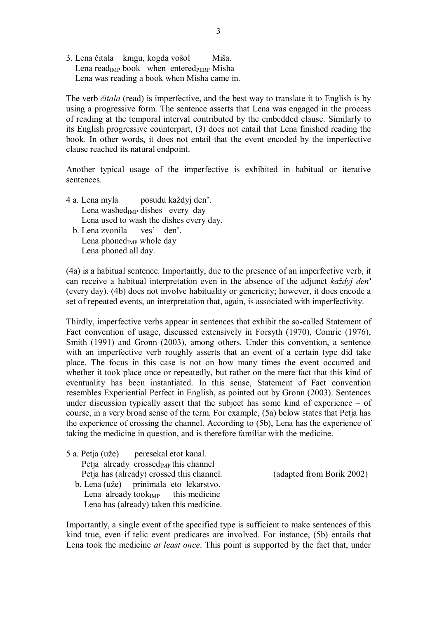3. Lena čitala knigu, kogda vošol Miša. Lena read<sub>IMP</sub> book when entered $_{PERF}$  Misha Lena was reading a book when Misha came in.

The verb *čitala* (read) is imperfective, and the best way to translate it to English is by using a progressive form. The sentence asserts that Lena was engaged in the process of reading at the temporal interval contributed by the embedded clause. Similarly to its English progressive counterpart, (3) does not entail that Lena finished reading the book. In other words, it does not entail that the event encoded by the imperfective clause reached its natural endpoint.

Another typical usage of the imperfective is exhibited in habitual or iterative sentences.

- 4 a. Lena myla posudu každyj den'. Lena washed $_{IMP}$  dishes every day Lena used to wash the dishes every day. b. Lena zvonila ves' den'.
	- Lena phoned $_{IMP}$  whole day Lena phoned all day.

(4a) is a habitual sentence. Importantly, due to the presence of an imperfective verb, it can receive a habitual interpretation even in the absence of the adjunct *každyj den'*  (every day). (4b) does not involve habituality or genericity; however, it does encode a set of repeated events, an interpretation that, again, is associated with imperfectivity.

Thirdly, imperfective verbs appear in sentences that exhibit the so-called Statement of Fact convention of usage, discussed extensively in Forsyth (1970), Comrie (1976), Smith (1991) and Gronn (2003), among others. Under this convention, a sentence with an imperfective verb roughly asserts that an event of a certain type did take place. The focus in this case is not on how many times the event occurred and whether it took place once or repeatedly, but rather on the mere fact that this kind of eventuality has been instantiated. In this sense, Statement of Fact convention resembles Experiential Perfect in English, as pointed out by Gronn (2003). Sentences under discussion typically assert that the subject has some kind of experience – of course, in a very broad sense of the term. For example, (5a) below states that Petja has the experience of crossing the channel. According to (5b), Lena has the experience of taking the medicine in question, and is therefore familiar with the medicine.

|                                         | 5 a. Petja (uže) peresekal etot kanal.            |  |
|-----------------------------------------|---------------------------------------------------|--|
|                                         | Petja already crossed <sub>IMP</sub> this channel |  |
|                                         | Petja has (already) crossed this channel.         |  |
|                                         | b. Lena (uže) prinimala eto lekarstvo.            |  |
|                                         | Lena already took $_{IMP}$ this medicine          |  |
| Lena has (already) taken this medicine. |                                                   |  |

(adapted from Borik 2002)

Importantly, a single event of the specified type is sufficient to make sentences of this kind true, even if telic event predicates are involved. For instance, (5b) entails that Lena took the medicine *at least once*. This point is supported by the fact that, under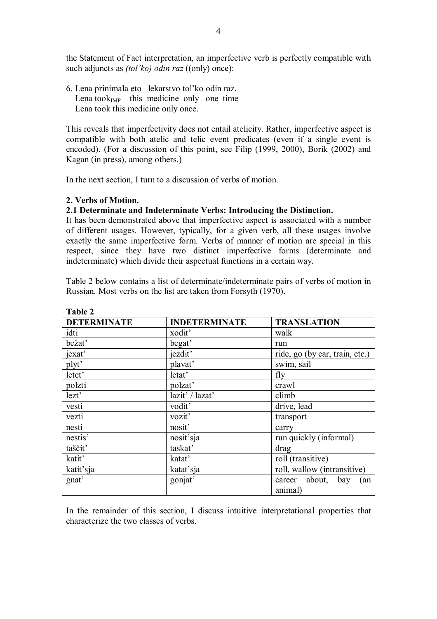the Statement of Fact interpretation, an imperfective verb is perfectly compatible with such adjuncts as *(tol'ko) odin raz* ((only) once):

6. Lena prinimala eto lekarstvo tol'ko odin raz. Lena took $_{IMP}$  this medicine only one time Lena took this medicine only once.

This reveals that imperfectivity does not entail atelicity. Rather, imperfective aspect is compatible with both atelic and telic event predicates (even if a single event is encoded). (For a discussion of this point, see Filip (1999, 2000), Borik (2002) and Kagan (in press), among others.)

In the next section, I turn to a discussion of verbs of motion.

# **2. Verbs of Motion.**

#### **2.1 Determinate and Indeterminate Verbs: Introducing the Distinction.**

It has been demonstrated above that imperfective aspect is associated with a number of different usages. However, typically, for a given verb, all these usages involve exactly the same imperfective form. Verbs of manner of motion are special in this respect, since they have two distinct imperfective forms (determinate and indeterminate) which divide their aspectual functions in a certain way.

Table 2 below contains a list of determinate/indeterminate pairs of verbs of motion in Russian. Most verbs on the list are taken from Forsyth (1970).

| <b>DETERMINATE</b> | <b>INDETERMINATE</b> | <b>TRANSLATION</b>                     |
|--------------------|----------------------|----------------------------------------|
| idti               | xodit'               | walk                                   |
| bežat'             | begat'               | run                                    |
| jexat'             | jezdit'              | ride, go (by car, train, etc.)         |
| plyt'              | plavat'              | swim, sail                             |
| letet'             | letat'               | fly                                    |
| polzti             | polzat'              | crawl                                  |
| lezt'              | lazit' / lazat'      | climb                                  |
| vesti              | vodit'               | drive, lead                            |
| vezti              | vozit'               | transport                              |
| nesti              | nosit'               | carry                                  |
| nestis'            | nosit'sja            | run quickly (informal)                 |
| taščit'            | taskat'              | drag                                   |
| katit'             | katat'               | roll (transitive)                      |
| katit'sja          | katat'sja            | roll, wallow (intransitive)            |
| gnat'              | gonjat'              | career about,<br>bay<br>(an<br>animal) |

**Table 2** 

In the remainder of this section, I discuss intuitive interpretational properties that characterize the two classes of verbs.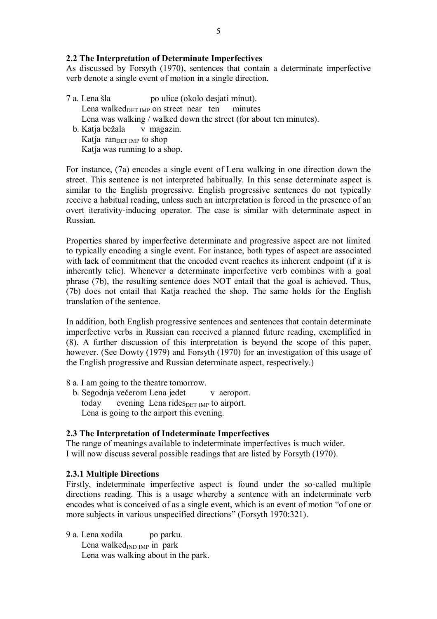# **2.2 The Interpretation of Determinate Imperfectives**

As discussed by Forsyth (1970), sentences that contain a determinate imperfective verb denote a single event of motion in a single direction.

7 a. Lena šla po ulice (okolo desjati minut). Lena walked $_{\text{DET~IMP}}$  on street near ten minutes Lena was walking / walked down the street (for about ten minutes). b. Katja bežala v magazin. Katja ran $_{\text{DET IMP}}$  to shop Katja was running to a shop.

For instance, (7a) encodes a single event of Lena walking in one direction down the street. This sentence is not interpreted habitually. In this sense determinate aspect is similar to the English progressive. English progressive sentences do not typically receive a habitual reading, unless such an interpretation is forced in the presence of an overt iterativity-inducing operator. The case is similar with determinate aspect in Russian.

Properties shared by imperfective determinate and progressive aspect are not limited to typically encoding a single event. For instance, both types of aspect are associated with lack of commitment that the encoded event reaches its inherent endpoint (if it is inherently telic). Whenever a determinate imperfective verb combines with a goal phrase (7b), the resulting sentence does NOT entail that the goal is achieved. Thus, (7b) does not entail that Katja reached the shop. The same holds for the English translation of the sentence.

In addition, both English progressive sentences and sentences that contain determinate imperfective verbs in Russian can received a planned future reading, exemplified in (8). A further discussion of this interpretation is beyond the scope of this paper, however. (See Dowty (1979) and Forsyth (1970) for an investigation of this usage of the English progressive and Russian determinate aspect, respectively.)

- 8 a. I am going to the theatre tomorrow.
	- b. Segodnja večerom Lena jedet v aeroport. today evening Lena rides $_{\text{DEF IMP}}$  to airport. Lena is going to the airport this evening.

# **2.3 The Interpretation of Indeterminate Imperfectives**

The range of meanings available to indeterminate imperfectives is much wider. I will now discuss several possible readings that are listed by Forsyth (1970).

# **2.3.1 Multiple Directions**

Firstly, indeterminate imperfective aspect is found under the so-called multiple directions reading. This is a usage whereby a sentence with an indeterminate verb encodes what is conceived of as a single event, which is an event of motion "of one or more subjects in various unspecified directions" (Forsyth 1970:321).

9 a. Lena xodila po parku. Lena walked $_{IND}$  IMP in park Lena was walking about in the park.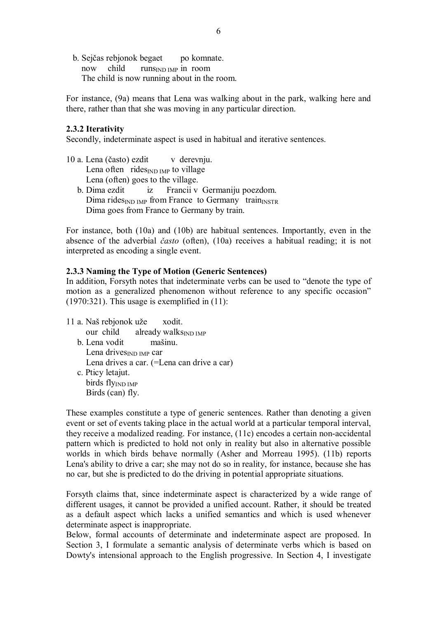b. Sejčas rebjonok begaet po komnate. now child runs<sub>IND IMP</sub> in room The child is now running about in the room.

For instance, (9a) means that Lena was walking about in the park, walking here and there, rather than that she was moving in any particular direction.

#### **2.3.2 Iterativity**

Secondly, indeterminate aspect is used in habitual and iterative sentences.

10 a. Lena (často) ezdit v derevnju. Lena often rides $_{\text{IND}}$  IMP to village Lena (often) goes to the village. b. Dima ezdit iz Francii v Germaniju poezdom. Dima rides<sub>IND IMP</sub> from France to Germany train<sub>INSTR</sub> Dima goes from France to Germany by train.

For instance, both (10a) and (10b) are habitual sentences. Importantly, even in the absence of the adverbial *často* (often), (10a) receives a habitual reading; it is not interpreted as encoding a single event.

# **2.3.3 Naming the Type of Motion (Generic Sentences)**

In addition, Forsyth notes that indeterminate verbs can be used to "denote the type of motion as a generalized phenomenon without reference to any specific occasion"  $(1970:321)$ . This usage is exemplified in  $(11)$ :

11 a. Naš rebjonok uže xodit. our child already walks $_{\text{IND} \text{IMP}}$ b. Lena vodit mašinu. Lena drives<sub>IND</sub> IMP car Lena drives a car. (=Lena can drive a car) c. Pticy letajut. birds flyIND IMP Birds (can) fly.

These examples constitute a type of generic sentences. Rather than denoting a given event or set of events taking place in the actual world at a particular temporal interval, they receive a modalized reading. For instance, (11c) encodes a certain non-accidental pattern which is predicted to hold not only in reality but also in alternative possible worlds in which birds behave normally (Asher and Morreau 1995). (11b) reports Lena's ability to drive a car; she may not do so in reality, for instance, because she has no car, but she is predicted to do the driving in potential appropriate situations.

Forsyth claims that, since indeterminate aspect is characterized by a wide range of different usages, it cannot be provided a unified account. Rather, it should be treated as a default aspect which lacks a unified semantics and which is used whenever determinate aspect is inappropriate.

Below, formal accounts of determinate and indeterminate aspect are proposed. In Section 3, I formulate a semantic analysis of determinate verbs which is based on Dowty's intensional approach to the English progressive. In Section 4, I investigate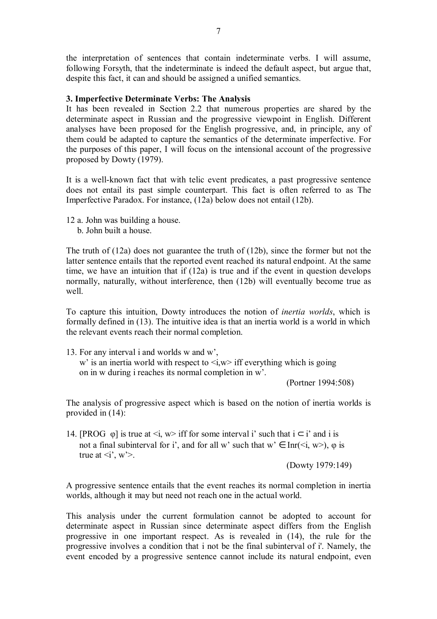the interpretation of sentences that contain indeterminate verbs. I will assume, following Forsyth, that the indeterminate is indeed the default aspect, but argue that, despite this fact, it can and should be assigned a unified semantics.

# **3. Imperfective Determinate Verbs: The Analysis**

It has been revealed in Section 2.2 that numerous properties are shared by the determinate aspect in Russian and the progressive viewpoint in English. Different analyses have been proposed for the English progressive, and, in principle, any of them could be adapted to capture the semantics of the determinate imperfective. For the purposes of this paper, I will focus on the intensional account of the progressive proposed by Dowty (1979).

It is a well-known fact that with telic event predicates, a past progressive sentence does not entail its past simple counterpart. This fact is often referred to as The Imperfective Paradox. For instance, (12a) below does not entail (12b).

12 a. John was building a house.

b. John built a house.

The truth of (12a) does not guarantee the truth of (12b), since the former but not the latter sentence entails that the reported event reached its natural endpoint. At the same time, we have an intuition that if (12a) is true and if the event in question develops normally, naturally, without interference, then (12b) will eventually become true as well.

To capture this intuition, Dowty introduces the notion of *inertia worlds*, which is formally defined in (13). The intuitive idea is that an inertia world is a world in which the relevant events reach their normal completion.

13. For any interval i and worlds w and w', w' is an inertia world with respect to  $\langle i, w \rangle$  iff everything which is going on in w during i reaches its normal completion in w'.

(Portner 1994:508)

The analysis of progressive aspect which is based on the notion of inertia worlds is provided in (14):

14. [PROG  $\varphi$ ] is true at  $\langle i, w \rangle$  iff for some interval i' such that  $i \subset i'$  and i is not a final subinterval for i', and for all w' such that  $w' \in \text{Inr}(\leq i, w>), \varphi$  is true at  $\langle i', w' \rangle$ .

(Dowty 1979:149)

A progressive sentence entails that the event reaches its normal completion in inertia worlds, although it may but need not reach one in the actual world.

This analysis under the current formulation cannot be adopted to account for determinate aspect in Russian since determinate aspect differs from the English progressive in one important respect. As is revealed in (14), the rule for the progressive involves a condition that i not be the final subinterval of i'. Namely, the event encoded by a progressive sentence cannot include its natural endpoint, even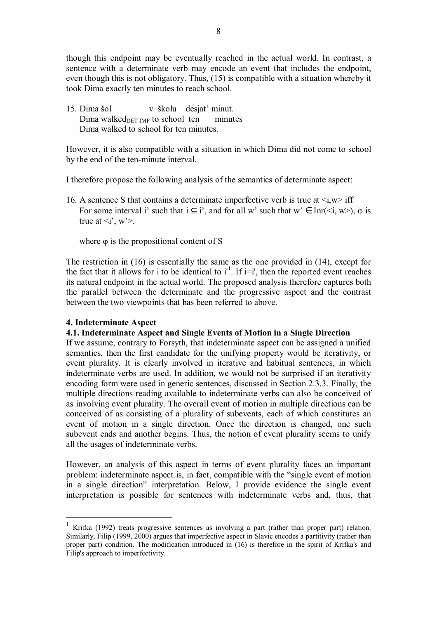though this endpoint may be eventually reached in the actual world. In contrast, a sentence with a determinate verb may encode an event that includes the endpoint, even though this is not obligatory. Thus, (15) is compatible with a situation whereby it took Dima exactly ten minutes to reach school.

15. Dima šol v školu desjat' minut. Dima walked $_{\text{DET~IMP}}$  to school ten minutes Dima walked to school for ten minutes.

However, it is also compatible with a situation in which Dima did not come to school by the end of the ten-minute interval.

I therefore propose the following analysis of the semantics of determinate aspect:

16. A sentence S that contains a determinate imperfective verb is true at  $\langle i, w \rangle$  iff For some interval i' such that  $i \subseteq i'$ , and for all w' such that  $w' \in \text{Inr}(\le i, w>), \varphi$  is true at  $\langle i', w' \rangle$ .

where  $\varphi$  is the propositional content of S

The restriction in (16) is essentially the same as the one provided in (14), except for the fact that it allows for i to be identical to  $i<sup>1</sup>$ . If  $i=i'$ , then the reported event reaches its natural endpoint in the actual world. The proposed analysis therefore captures both the parallel between the determinate and the progressive aspect and the contrast between the two viewpoints that has been referred to above.

# **4. Indeterminate Aspect**

 $\overline{a}$ 

# **4.1. Indeterminate Aspect and Single Events of Motion in a Single Direction**

If we assume, contrary to Forsyth, that indeterminate aspect can be assigned a unified semantics, then the first candidate for the unifying property would be iterativity, or event plurality. It is clearly involved in iterative and habitual sentences, in which indeterminate verbs are used. In addition, we would not be surprised if an iterativity encoding form were used in generic sentences, discussed in Section 2.3.3. Finally, the multiple directions reading available to indeterminate verbs can also be conceived of as involving event plurality. The overall event of motion in multiple directions can be conceived of as consisting of a plurality of subevents, each of which constitutes an event of motion in a single direction. Once the direction is changed, one such subevent ends and another begins. Thus, the notion of event plurality seems to unify all the usages of indeterminate verbs.

However, an analysis of this aspect in terms of event plurality faces an important problem: indeterminate aspect is, in fact, compatible with the "single event of motion in a single direction" interpretation. Below, I provide evidence the single event interpretation is possible for sentences with indeterminate verbs and, thus, that

<sup>1</sup> Krifka (1992) treats progressive sentences as involving a part (rather than proper part) relation. Similarly, Filip (1999, 2000) argues that imperfective aspect in Slavic encodes a partitivity (rather than proper part) condition. The modification introduced in (16) is therefore in the spirit of Krifka's and Filip's approach to imperfectivity.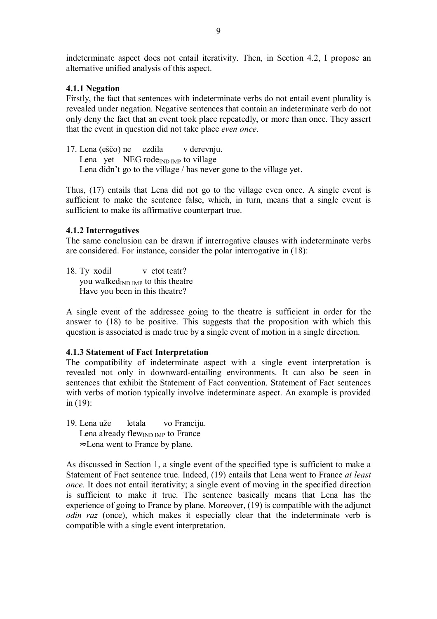indeterminate aspect does not entail iterativity. Then, in Section 4.2, I propose an alternative unified analysis of this aspect.

#### **4.1.1 Negation**

Firstly, the fact that sentences with indeterminate verbs do not entail event plurality is revealed under negation. Negative sentences that contain an indeterminate verb do not only deny the fact that an event took place repeatedly, or more than once. They assert that the event in question did not take place *even once*.

17. Lena (eščo) ne ezdila v derevnju. Lena yet NEG rode $_{\text{IND}}$  IMP to village Lena didn't go to the village / has never gone to the village yet.

Thus, (17) entails that Lena did not go to the village even once. A single event is sufficient to make the sentence false, which, in turn, means that a single event is sufficient to make its affirmative counterpart true.

#### **4.1.2 Interrogatives**

The same conclusion can be drawn if interrogative clauses with indeterminate verbs are considered. For instance, consider the polar interrogative in (18):

18. Ty xodil v etot teatr? you walked $_{\text{IND}}$  imp to this theatre Have you been in this theatre?

A single event of the addressee going to the theatre is sufficient in order for the answer to (18) to be positive. This suggests that the proposition with which this question is associated is made true by a single event of motion in a single direction.

# **4.1.3 Statement of Fact Interpretation**

The compatibility of indeterminate aspect with a single event interpretation is revealed not only in downward-entailing environments. It can also be seen in sentences that exhibit the Statement of Fact convention. Statement of Fact sentences with verbs of motion typically involve indeterminate aspect. An example is provided in (19):

- 19. Lena uže letala vo Franciju.
	- Lena already flew $_{\text{IND IMP}}$  to France
	- ≈ Lena went to France by plane.

As discussed in Section 1, a single event of the specified type is sufficient to make a Statement of Fact sentence true. Indeed, (19) entails that Lena went to France *at least once*. It does not entail iterativity; a single event of moving in the specified direction is sufficient to make it true. The sentence basically means that Lena has the experience of going to France by plane. Moreover, (19) is compatible with the adjunct *odin raz* (once), which makes it especially clear that the indeterminate verb is compatible with a single event interpretation.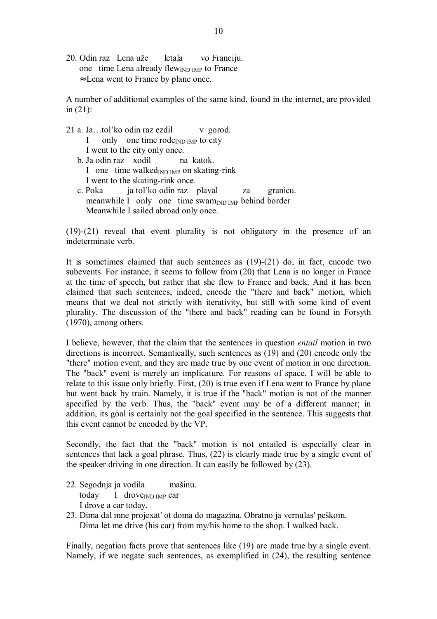20. Odin raz Lena uže letala vo Franciju. one time Lena already flewIND IMP to France ≈ Lena went to France by plane once.

A number of additional examples of the same kind, found in the internet, are provided in  $(21)$ :

- 21 a. Ja...tol'ko odin raz ezdil v gorod. I only one time rode $_{IND}$  IMP to city I went to the city only once. b. Ja odin raz xodil na katok. I one time walked $_{\text{IND} \text{IMP}}$  on skating-rink I went to the skating-rink once.
	- c. Poka ja tol'ko odin raz plaval za granicu. meanwhile I only one time swam $_{\text{IND~IMP}}$  behind border Meanwhile I sailed abroad only once.

(19)-(21) reveal that event plurality is not obligatory in the presence of an indeterminate verb.

It is sometimes claimed that such sentences as (19)-(21) do, in fact, encode two subevents. For instance, it seems to follow from (20) that Lena is no longer in France at the time of speech, but rather that she flew to France and back. And it has been claimed that such sentences, indeed, encode the "there and back" motion, which means that we deal not strictly with iterativity, but still with some kind of event plurality. The discussion of the "there and back" reading can be found in Forsyth (1970), among others.

I believe, however, that the claim that the sentences in question *entail* motion in two directions is incorrect. Semantically, such sentences as (19) and (20) encode only the "there" motion event, and they are made true by one event of motion in one direction. The "back" event is merely an implicature. For reasons of space, I will be able to relate to this issue only briefly. First, (20) is true even if Lena went to France by plane but went back by train. Namely, it is true if the "back" motion is not of the manner specified by the verb. Thus, the "back" event may be of a different manner; in addition, its goal is certainly not the goal specified in the sentence. This suggests that this event cannot be encoded by the VP.

Secondly, the fact that the "back" motion is not entailed is especially clear in sentences that lack a goal phrase. Thus, (22) is clearly made true by a single event of the speaker driving in one direction. It can easily be followed by (23).

- 22. Segodnja ja vodila mašinu. today I drove $_{IND IMP}$  car I drove a car today.
- 23. Dima dal mne projexat' ot doma do magazina. Obratno ja vernulas' peškom. Dima let me drive (his car) from my/his home to the shop. I walked back.

Finally, negation facts prove that sentences like (19) are made true by a single event. Namely, if we negate such sentences, as exemplified in (24), the resulting sentence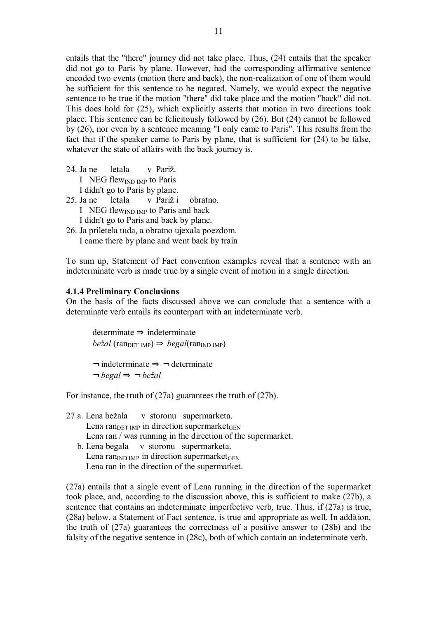entails that the "there" journey did not take place. Thus, (24) entails that the speaker did not go to Paris by plane. However, had the corresponding affirmative sentence encoded two events (motion there and back), the non-realization of one of them would be sufficient for this sentence to be negated. Namely, we would expect the negative sentence to be true if the motion "there" did take place and the motion "back" did not. This does hold for (25), which explicitly asserts that motion in two directions took place. This sentence can be felicitously followed by (26). But (24) cannot be followed by (26), nor even by a sentence meaning "I only came to Paris". This results from the fact that if the speaker came to Paris by plane, that is sufficient for (24) to be false, whatever the state of affairs with the back journey is.

- 24. Ja ne letala v Pariž. I NEG flewIND IMP to Paris I didn't go to Paris by plane. 25. Ja ne letala v Pariž i obratno.
- I NEG flew<sub>IND IMP</sub> to Paris and back I didn't go to Paris and back by plane.
- 26. Ja priletela tuda, a obratno ujexala poezdom. I came there by plane and went back by train

To sum up, Statement of Fact convention examples reveal that a sentence with an indeterminate verb is made true by a single event of motion in a single direction.

#### **4.1.4 Preliminary Conclusions**

On the basis of the facts discussed above we can conclude that a sentence with a determinate verb entails its counterpart with an indeterminate verb.

determinate ⇒ indeterminate  $be\check{z}al$  (ran<sub>DET IMP</sub>)  $\Rightarrow$  *begal*(ran<sub>IND IMP</sub>)

 $\rightarrow$  indeterminate  $\Rightarrow$   $\rightarrow$  determinate ¬ *begal* ⇒ ¬ *bežal* 

For instance, the truth of (27a) guarantees the truth of (27b).

- 27 a. Lena bežala v storonu supermarketa. Lena ran $_{\text{DET IMF}}$  in direction supermarket $_{\text{GEN}}$ Lena ran / was running in the direction of the supermarket.
	- b. Lena begala v storonu supermarketa. Lena ran<sub>IND IMP</sub> in direction supermarket $_{\text{GEN}}$ Lena ran in the direction of the supermarket.

(27a) entails that a single event of Lena running in the direction of the supermarket took place, and, according to the discussion above, this is sufficient to make (27b), a sentence that contains an indeterminate imperfective verb, true. Thus, if (27a) is true, (28a) below, a Statement of Fact sentence, is true and appropriate as well. In addition, the truth of (27a) guarantees the correctness of a positive answer to (28b) and the falsity of the negative sentence in (28c), both of which contain an indeterminate verb.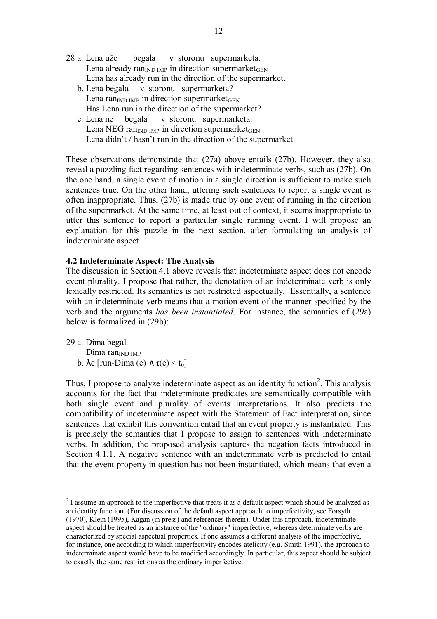- 28 a. Lena uže begala v storonu supermarketa. Lena already ran<sub>IND IMP</sub> in direction supermarket<sub>GEN</sub> Lena has already run in the direction of the supermarket.
	- b. Lena begala v storonu supermarketa? Lena ran<sub>IND IMP</sub> in direction supermarket $_{\text{GEN}}$ Has Lena run in the direction of the supermarket?
	- c. Lena ne begala v storonu supermarketa. Lena NEG ran<sub>IND IMP</sub> in direction supermarket<sub>GEN</sub> Lena didn't / hasn't run in the direction of the supermarket.

These observations demonstrate that (27a) above entails (27b). However, they also reveal a puzzling fact regarding sentences with indeterminate verbs, such as (27b). On the one hand, a single event of motion in a single direction is sufficient to make such sentences true. On the other hand, uttering such sentences to report a single event is often inappropriate. Thus, (27b) is made true by one event of running in the direction of the supermarket. At the same time, at least out of context, it seems inappropriate to utter this sentence to report a particular single running event. I will propose an explanation for this puzzle in the next section, after formulating an analysis of indeterminate aspect.

#### **4.2 Indeterminate Aspect: The Analysis**

The discussion in Section 4.1 above reveals that indeterminate aspect does not encode event plurality. I propose that rather, the denotation of an indeterminate verb is only lexically restricted. Its semantics is not restricted aspectually. Essentially, a sentence with an indeterminate verb means that a motion event of the manner specified by the verb and the arguments *has been instantiated*. For instance, the semantics of (29a) below is formalized in (29b):

29 a. Dima begal.  $Dima$  ran<sub>IND IMP</sub> b.  $\lambda e$  [run-Dima (e)  $\wedge \tau(e) \leq t_0$ ]

 $\overline{a}$ 

Thus, I propose to analyze indeterminate aspect as an identity function<sup>2</sup>. This analysis accounts for the fact that indeterminate predicates are semantically compatible with both single event and plurality of events interpretations. It also predicts the compatibility of indeterminate aspect with the Statement of Fact interpretation, since sentences that exhibit this convention entail that an event property is instantiated. This is precisely the semantics that I propose to assign to sentences with indeterminate verbs. In addition, the proposed analysis captures the negation facts introduced in Section 4.1.1. A negative sentence with an indeterminate verb is predicted to entail that the event property in question has not been instantiated, which means that even a

 $2<sup>2</sup>$  I assume an approach to the imperfective that treats it as a default aspect which should be analyzed as an identity function. (For discussion of the default aspect approach to imperfectivity, see Forsyth (1970), Klein (1995), Kagan (in press) and references therein). Under this approach, indeterminate aspect should be treated as an instance of the "ordinary" imperfective, whereas determinate verbs are characterized by special aspectual properties. If one assumes a different analysis of the imperfective, for instance, one according to which imperfectivity encodes atelicity (e.g. Smith 1991), the approach to indeterminate aspect would have to be modified accordingly. In particular, this aspect should be subject to exactly the same restrictions as the ordinary imperfective.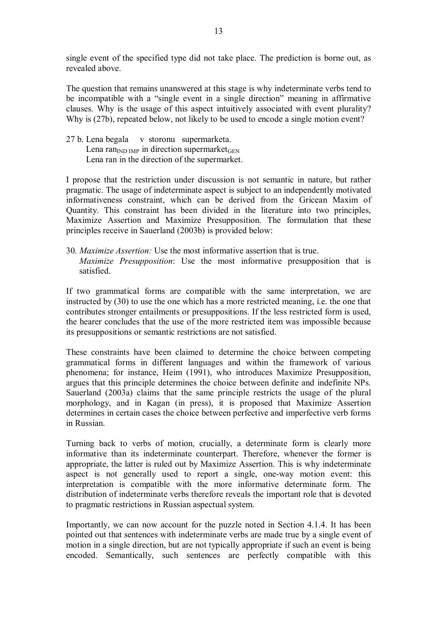single event of the specified type did not take place. The prediction is borne out, as revealed above.

The question that remains unanswered at this stage is why indeterminate verbs tend to be incompatible with a "single event in a single direction" meaning in affirmative clauses. Why is the usage of this aspect intuitively associated with event plurality? Why is (27b), repeated below, not likely to be used to encode a single motion event?

27 b. Lena begala v storonu supermarketa. Lena ran<sub>IND IMP</sub> in direction supermarket $_{\text{GEN}}$ Lena ran in the direction of the supermarket.

I propose that the restriction under discussion is not semantic in nature, but rather pragmatic. The usage of indeterminate aspect is subject to an independently motivated informativeness constraint, which can be derived from the Gricean Maxim of Quantity. This constraint has been divided in the literature into two principles, Maximize Assertion and Maximize Presupposition. The formulation that these principles receive in Sauerland (2003b) is provided below:

30. *Maximize Assertion:* Use the most informative assertion that is true. *Maximize Presupposition*: Use the most informative presupposition that is satisfied.

If two grammatical forms are compatible with the same interpretation, we are instructed by (30) to use the one which has a more restricted meaning, i.e. the one that contributes stronger entailments or presuppositions. If the less restricted form is used, the hearer concludes that the use of the more restricted item was impossible because its presuppositions or semantic restrictions are not satisfied.

These constraints have been claimed to determine the choice between competing grammatical forms in different languages and within the framework of various phenomena; for instance, Heim (1991), who introduces Maximize Presupposition, argues that this principle determines the choice between definite and indefinite NPs. Sauerland (2003a) claims that the same principle restricts the usage of the plural morphology, and in Kagan (in press), it is proposed that Maximize Assertion determines in certain cases the choice between perfective and imperfective verb forms in Russian.

Turning back to verbs of motion, crucially, a determinate form is clearly more informative than its indeterminate counterpart. Therefore, whenever the former is appropriate, the latter is ruled out by Maximize Assertion. This is why indeterminate aspect is not generally used to report a single, one-way motion event: this interpretation is compatible with the more informative determinate form. The distribution of indeterminate verbs therefore reveals the important role that is devoted to pragmatic restrictions in Russian aspectual system.

Importantly, we can now account for the puzzle noted in Section 4.1.4. It has been pointed out that sentences with indeterminate verbs are made true by a single event of motion in a single direction, but are not typically appropriate if such an event is being encoded. Semantically, such sentences are perfectly compatible with this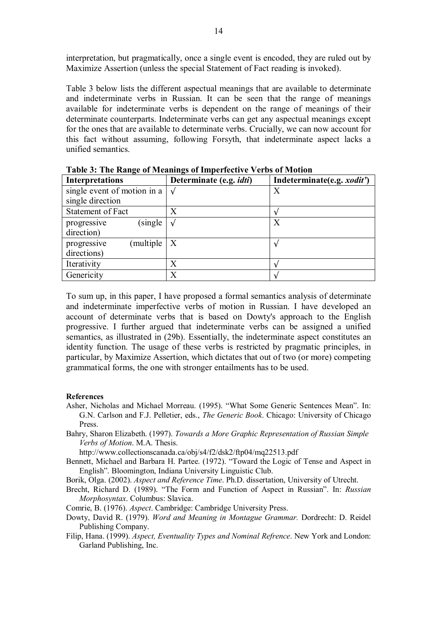interpretation, but pragmatically, once a single event is encoded, they are ruled out by Maximize Assertion (unless the special Statement of Fact reading is invoked).

Table 3 below lists the different aspectual meanings that are available to determinate and indeterminate verbs in Russian. It can be seen that the range of meanings available for indeterminate verbs is dependent on the range of meanings of their determinate counterparts. Indeterminate verbs can get any aspectual meanings except for the ones that are available to determinate verbs. Crucially, we can now account for this fact without assuming, following Forsyth, that indeterminate aspect lacks a unified semantics.

| Interpretations                                    | Determinate (e.g. <i>idti</i> ) | Indeterminate(e.g. <i>xodit'</i> ) |
|----------------------------------------------------|---------------------------------|------------------------------------|
| single event of motion in a $\vert \sqrt{ } \vert$ |                                 | Χ                                  |
| single direction                                   |                                 |                                    |
| Statement of Fact                                  | X                               |                                    |
| (single)<br>progressive                            | N                               | X                                  |
| direction)                                         |                                 |                                    |
| multiple<br>progressive                            | X                               |                                    |
| directions)                                        |                                 |                                    |
| Iterativity                                        | Χ                               |                                    |
| Genericity                                         | Χ                               |                                    |

**Table 3: The Range of Meanings of Imperfective Verbs of Motion**

To sum up, in this paper, I have proposed a formal semantics analysis of determinate and indeterminate imperfective verbs of motion in Russian. I have developed an account of determinate verbs that is based on Dowty's approach to the English progressive. I further argued that indeterminate verbs can be assigned a unified semantics, as illustrated in (29b). Essentially, the indeterminate aspect constitutes an identity function. The usage of these verbs is restricted by pragmatic principles, in particular, by Maximize Assertion, which dictates that out of two (or more) competing grammatical forms, the one with stronger entailments has to be used.

#### **References**

- Asher, Nicholas and Michael Morreau. (1995). "What Some Generic Sentences Mean". In: G.N. Carlson and F.J. Pelletier, eds., *The Generic Book*. Chicago: University of Chicago Press.
- Bahry, Sharon Elizabeth. (1997). *Towards a More Graphic Representation of Russian Simple Verbs of Motion*. M.A. Thesis.

http://www.collectionscanada.ca/obj/s4/f2/dsk2/ftp04/mq22513.pdf

Bennett, Michael and Barbara H. Partee. (1972). "Toward the Logic of Tense and Aspect in English". Bloomington, Indiana University Linguistic Club.

- Borik, Olga. (2002). *Aspect and Reference Time*. Ph.D. dissertation, University of Utrecht.
- Brecht, Richard D. (1989). "The Form and Function of Aspect in Russian". In: *Russian Morphosyntax*. Columbus: Slavica.
- Comrie, B. (1976). *Aspect*. Cambridge: Cambridge University Press.
- Dowty, David R. (1979). *Word and Meaning in Montague Grammar.* Dordrecht: D. Reidel Publishing Company.
- Filip, Hana. (1999). *Aspect, Eventuality Types and Nominal Refrence*. New York and London: Garland Publishing, Inc.